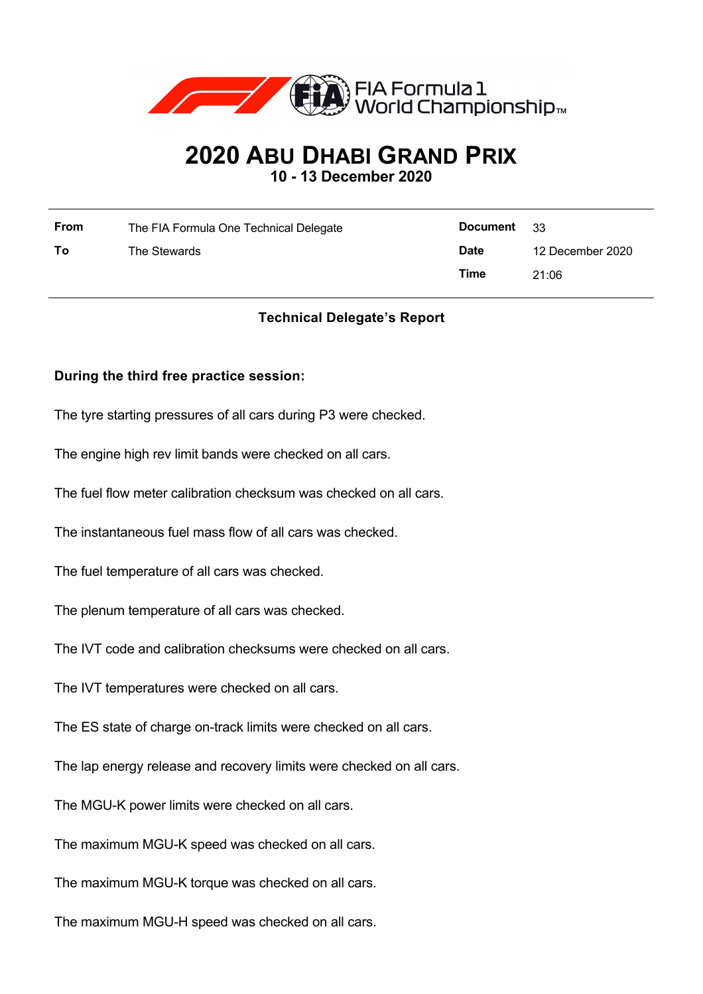

# **2020 ABU DHABI GRAND PRIX**

**10 - 13 December 2020**

| <b>From</b> | The FIA Formula One Technical Delegate | Document    | - 33             |
|-------------|----------------------------------------|-------------|------------------|
| To          | The Stewards                           | <b>Date</b> | 12 December 2020 |
|             |                                        | Time        | 21:06            |

# **Technical Delegate's Report**

#### **During the third free practice session:**

The tyre starting pressures of all cars during P3 were checked.

The engine high rev limit bands were checked on all cars.

The fuel flow meter calibration checksum was checked on all cars.

The instantaneous fuel mass flow of all cars was checked.

The fuel temperature of all cars was checked.

The plenum temperature of all cars was checked.

The IVT code and calibration checksums were checked on all cars.

The IVT temperatures were checked on all cars.

The ES state of charge on-track limits were checked on all cars.

The lap energy release and recovery limits were checked on all cars.

The MGU-K power limits were checked on all cars.

The maximum MGU-K speed was checked on all cars.

The maximum MGU-K torque was checked on all cars.

The maximum MGU-H speed was checked on all cars.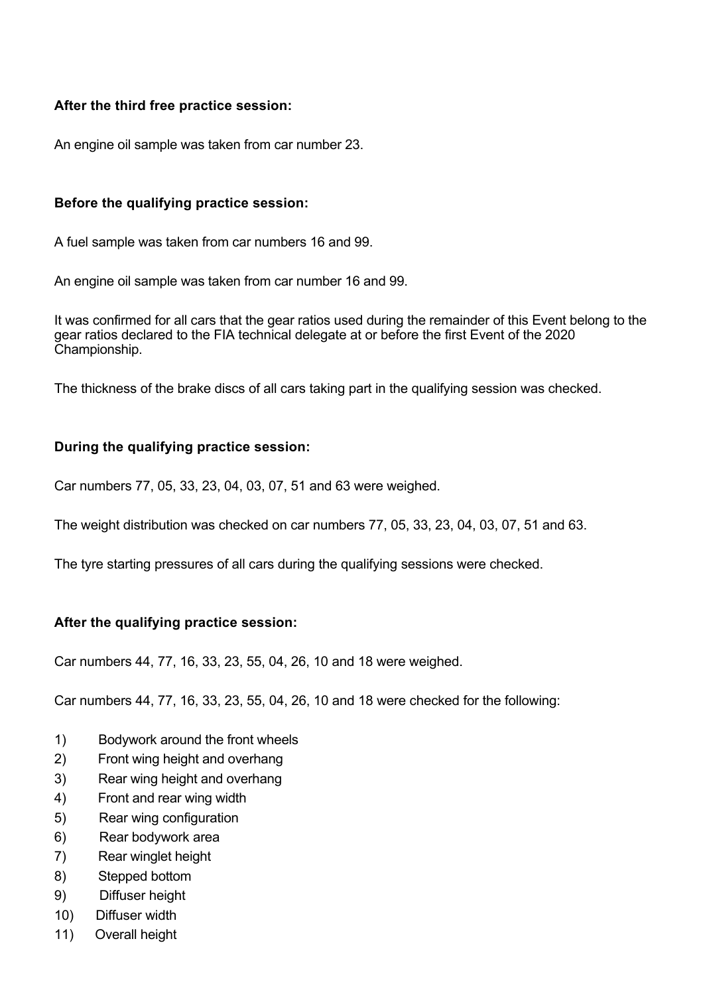## **After the third free practice session:**

An engine oil sample was taken from car number 23.

#### **Before the qualifying practice session:**

A fuel sample was taken from car numbers 16 and 99.

An engine oil sample was taken from car number 16 and 99.

It was confirmed for all cars that the gear ratios used during the remainder of this Event belong to the gear ratios declared to the FIA technical delegate at or before the first Event of the 2020 Championship.

The thickness of the brake discs of all cars taking part in the qualifying session was checked.

#### **During the qualifying practice session:**

Car numbers 77, 05, 33, 23, 04, 03, 07, 51 and 63 were weighed.

The weight distribution was checked on car numbers 77, 05, 33, 23, 04, 03, 07, 51 and 63.

The tyre starting pressures of all cars during the qualifying sessions were checked.

## **After the qualifying practice session:**

Car numbers 44, 77, 16, 33, 23, 55, 04, 26, 10 and 18 were weighed.

Car numbers 44, 77, 16, 33, 23, 55, 04, 26, 10 and 18 were checked for the following:

- 1) Bodywork around the front wheels
- 2) Front wing height and overhang
- 3) Rear wing height and overhang
- 4) Front and rear wing width
- 5) Rear wing configuration
- 6) Rear bodywork area
- 7) Rear winglet height
- 8) Stepped bottom
- 9) Diffuser height
- 10) Diffuser width
- 11) Overall height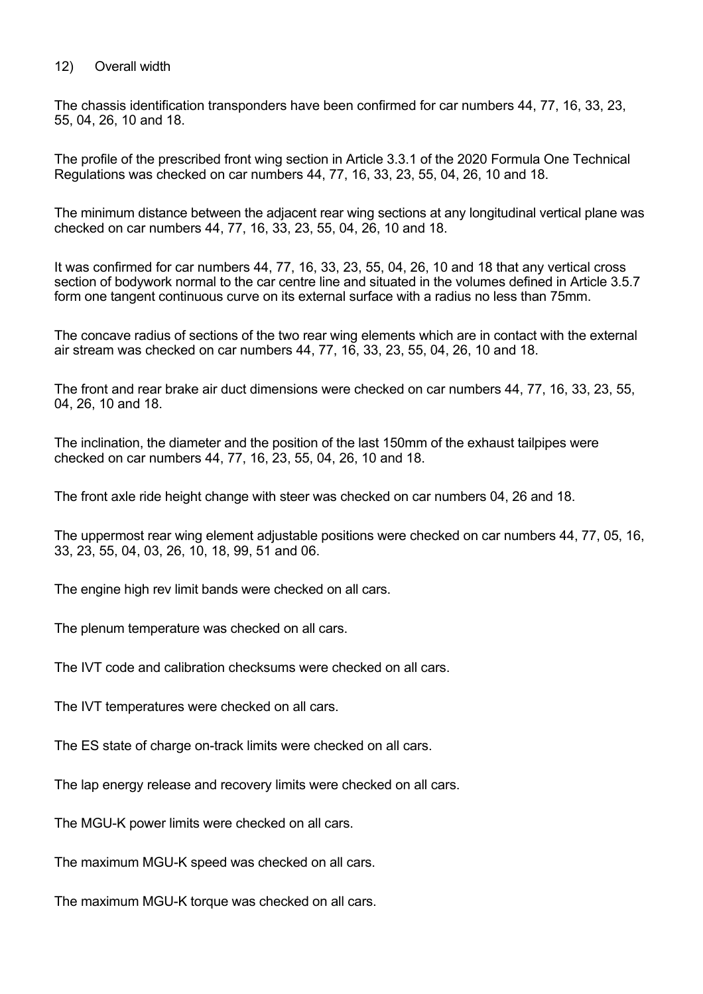#### 12) Overall width

The chassis identification transponders have been confirmed for car numbers 44, 77, 16, 33, 23, 55, 04, 26, 10 and 18.

The profile of the prescribed front wing section in Article 3.3.1 of the 2020 Formula One Technical Regulations was checked on car numbers 44, 77, 16, 33, 23, 55, 04, 26, 10 and 18.

The minimum distance between the adjacent rear wing sections at any longitudinal vertical plane was checked on car numbers 44, 77, 16, 33, 23, 55, 04, 26, 10 and 18.

It was confirmed for car numbers 44, 77, 16, 33, 23, 55, 04, 26, 10 and 18 that any vertical cross section of bodywork normal to the car centre line and situated in the volumes defined in Article 3.5.7 form one tangent continuous curve on its external surface with a radius no less than 75mm.

The concave radius of sections of the two rear wing elements which are in contact with the external air stream was checked on car numbers 44, 77, 16, 33, 23, 55, 04, 26, 10 and 18.

The front and rear brake air duct dimensions were checked on car numbers 44, 77, 16, 33, 23, 55, 04, 26, 10 and 18.

The inclination, the diameter and the position of the last 150mm of the exhaust tailpipes were checked on car numbers 44, 77, 16, 23, 55, 04, 26, 10 and 18.

The front axle ride height change with steer was checked on car numbers 04, 26 and 18.

The uppermost rear wing element adjustable positions were checked on car numbers 44, 77, 05, 16, 33, 23, 55, 04, 03, 26, 10, 18, 99, 51 and 06.

The engine high rev limit bands were checked on all cars.

The plenum temperature was checked on all cars.

The IVT code and calibration checksums were checked on all cars.

The IVT temperatures were checked on all cars.

The ES state of charge on-track limits were checked on all cars.

The lap energy release and recovery limits were checked on all cars.

The MGU-K power limits were checked on all cars.

The maximum MGU-K speed was checked on all cars.

The maximum MGU-K torque was checked on all cars.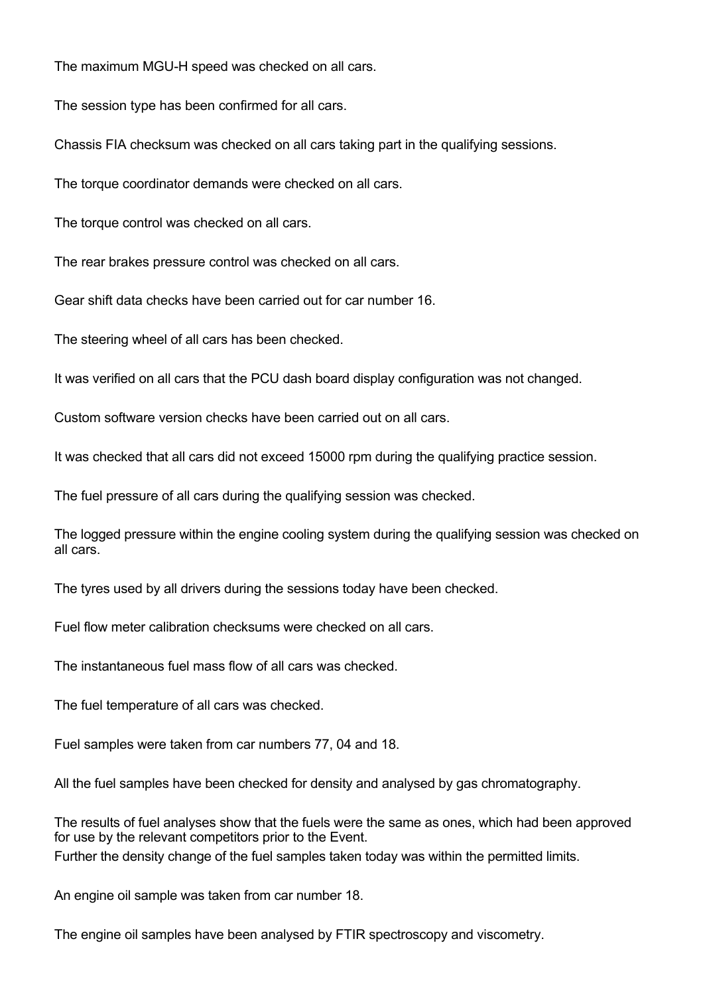The maximum MGU-H speed was checked on all cars.

The session type has been confirmed for all cars.

Chassis FIA checksum was checked on all cars taking part in the qualifying sessions.

The torque coordinator demands were checked on all cars.

The torque control was checked on all cars.

The rear brakes pressure control was checked on all cars.

Gear shift data checks have been carried out for car number 16.

The steering wheel of all cars has been checked.

It was verified on all cars that the PCU dash board display configuration was not changed.

Custom software version checks have been carried out on all cars.

It was checked that all cars did not exceed 15000 rpm during the qualifying practice session.

The fuel pressure of all cars during the qualifying session was checked.

The logged pressure within the engine cooling system during the qualifying session was checked on all cars.

The tyres used by all drivers during the sessions today have been checked.

Fuel flow meter calibration checksums were checked on all cars.

The instantaneous fuel mass flow of all cars was checked.

The fuel temperature of all cars was checked.

Fuel samples were taken from car numbers 77, 04 and 18.

All the fuel samples have been checked for density and analysed by gas chromatography.

The results of fuel analyses show that the fuels were the same as ones, which had been approved for use by the relevant competitors prior to the Event. Further the density change of the fuel samples taken today was within the permitted limits.

An engine oil sample was taken from car number 18.

The engine oil samples have been analysed by FTIR spectroscopy and viscometry.